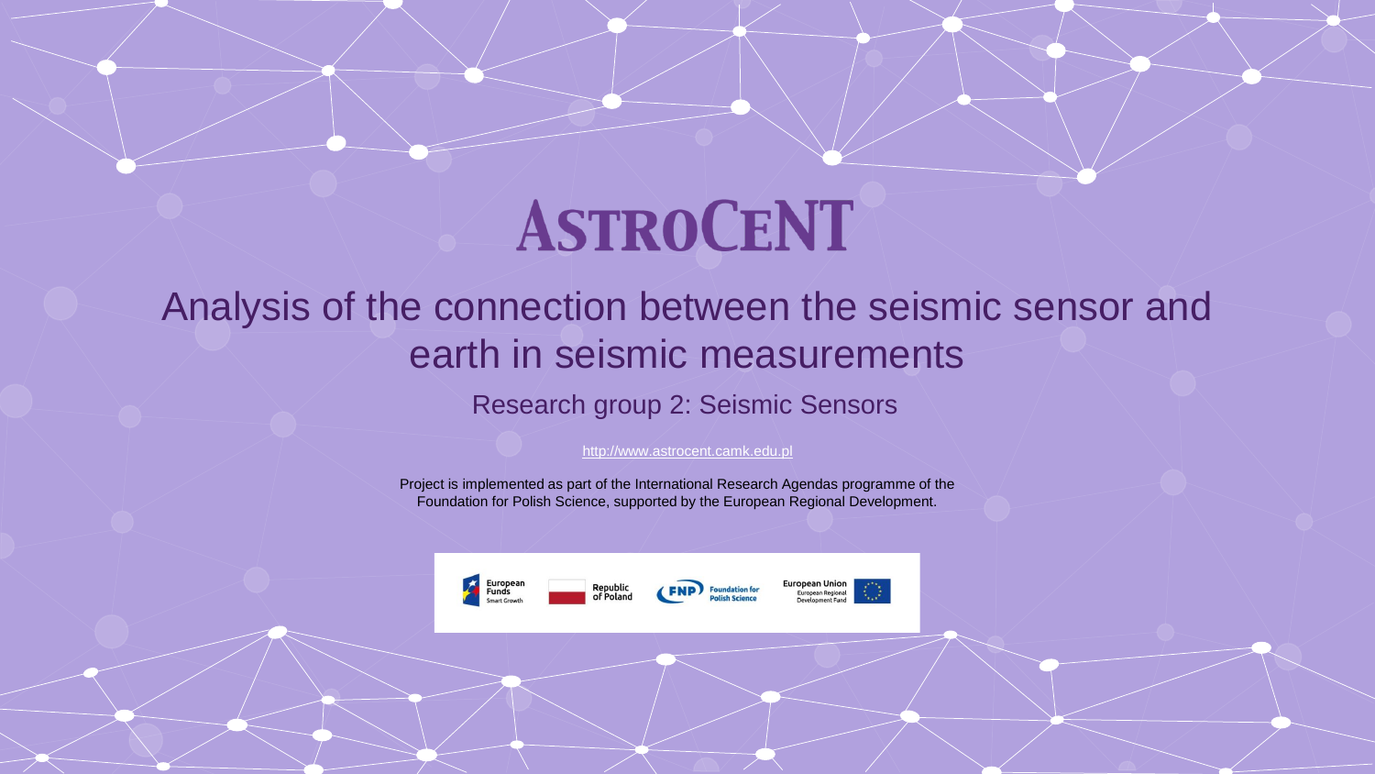### Analysis of the connection between the seismic sensor and earth in seismic measurements

Research group 2: Seismic Sensors

[http://www.astrocent.camk.edu.pl](http://www.free-powerpoint-templates-design.com/)

Project is implemented as part of the International Research Agendas programme of the Foundation for Polish Science, supported by the European Regional Development.

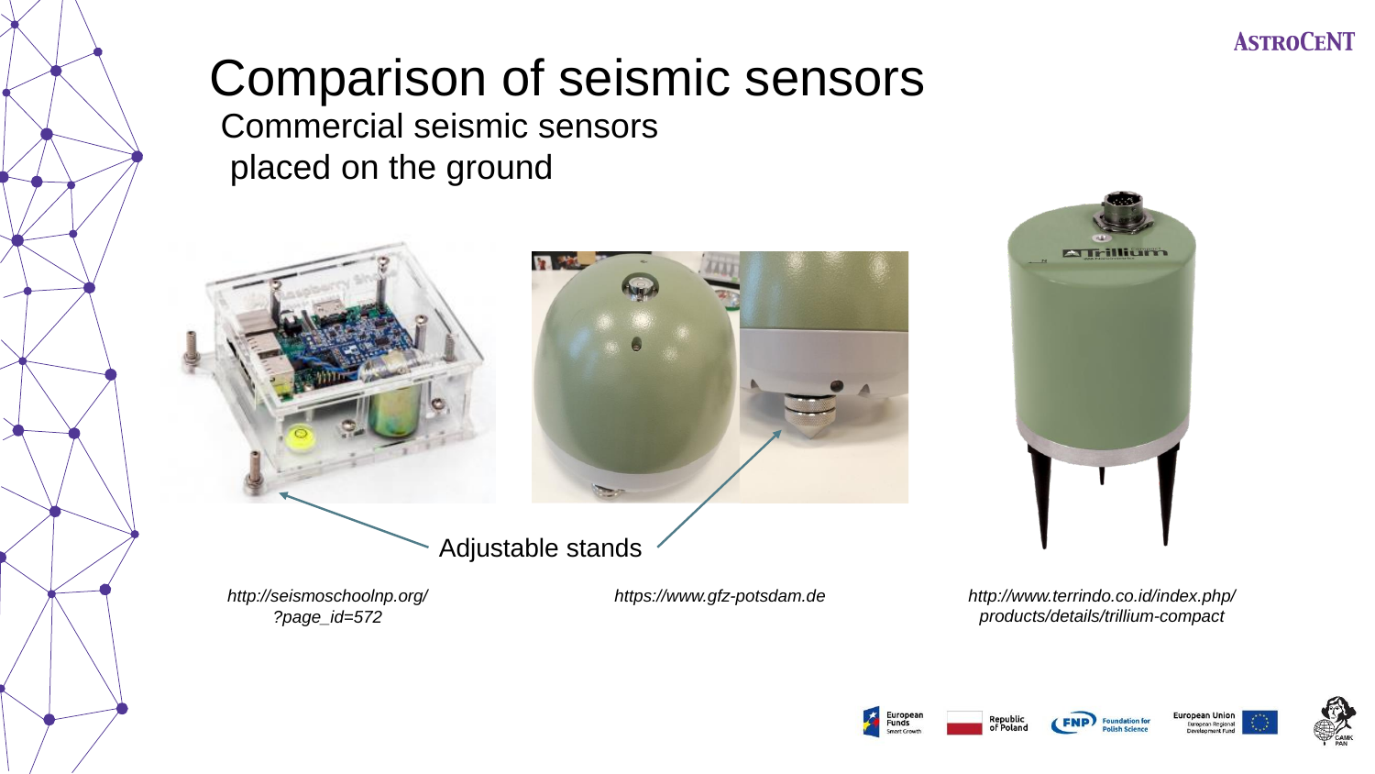# Comparison of seismic sensors

Commercial seismic sensors placed on the ground





Adjustable stands

*http://seismoschoolnp.org/ ?page\_id=572*



**A Trillium** 

*https://www.gfz-potsdam.de http://www.terrindo.co.id/index.php/ products/details/trillium-compact*



Republi





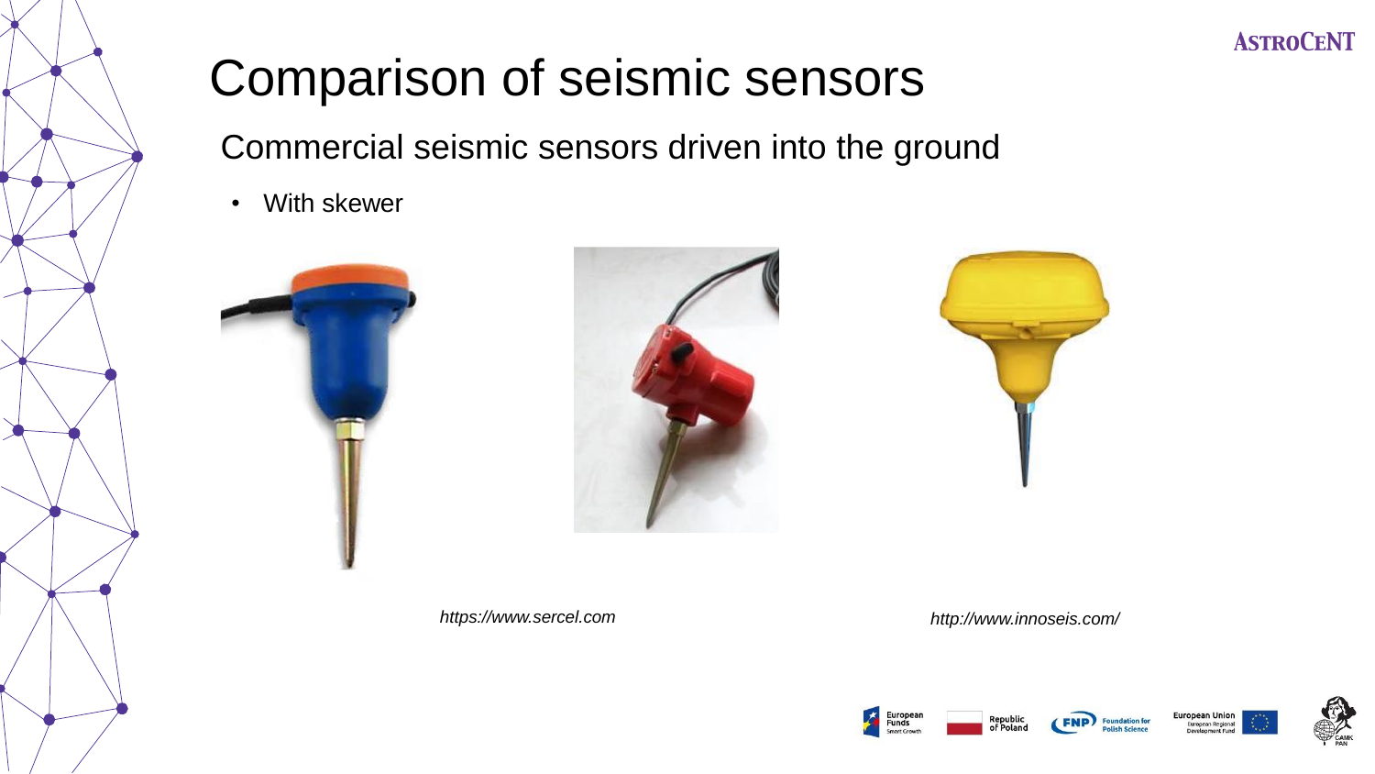# Comparison of seismic sensors

Commercial seismic sensors driven into the ground

• With skewer













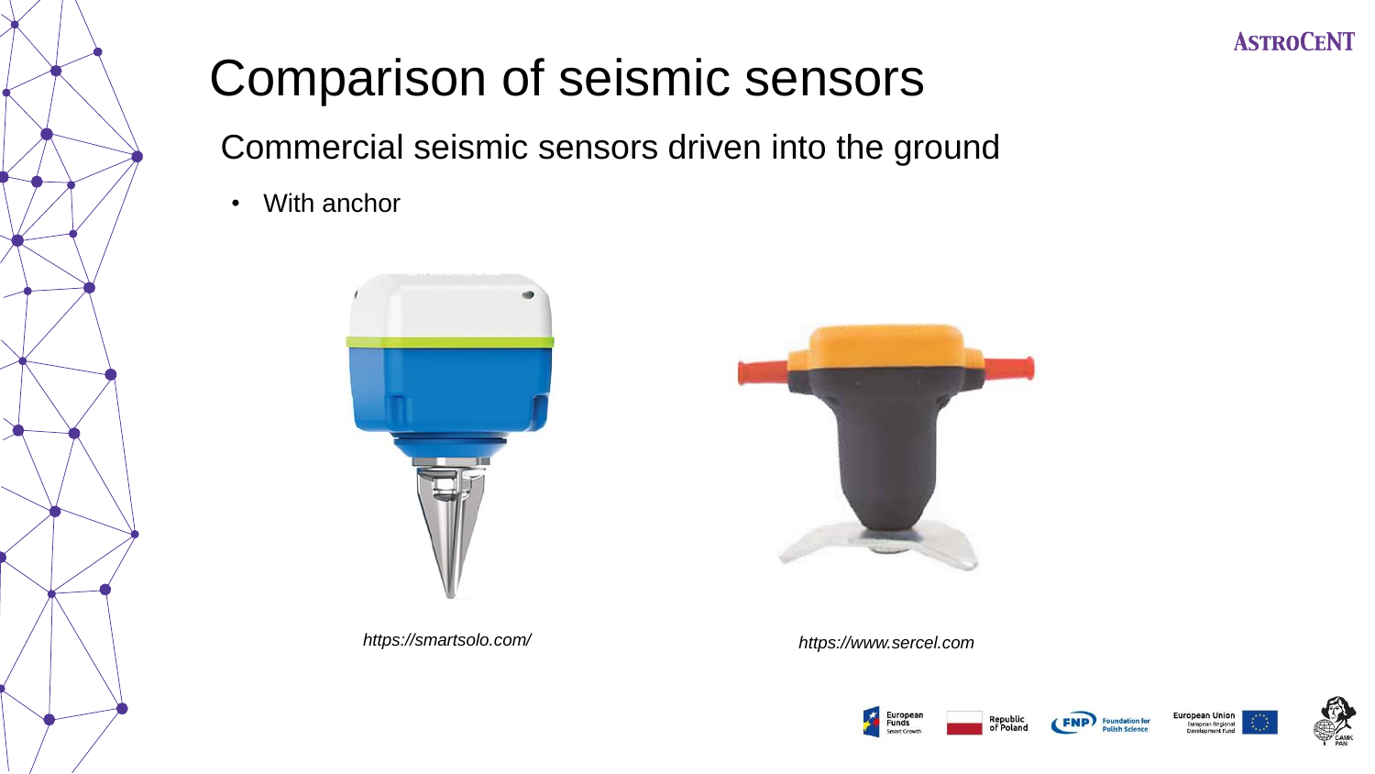# Comparison of seismic sensors

Commercial seismic sensors driven into the ground

• With anchor



*https://smartsolo.com/ https://www.sercel.com*







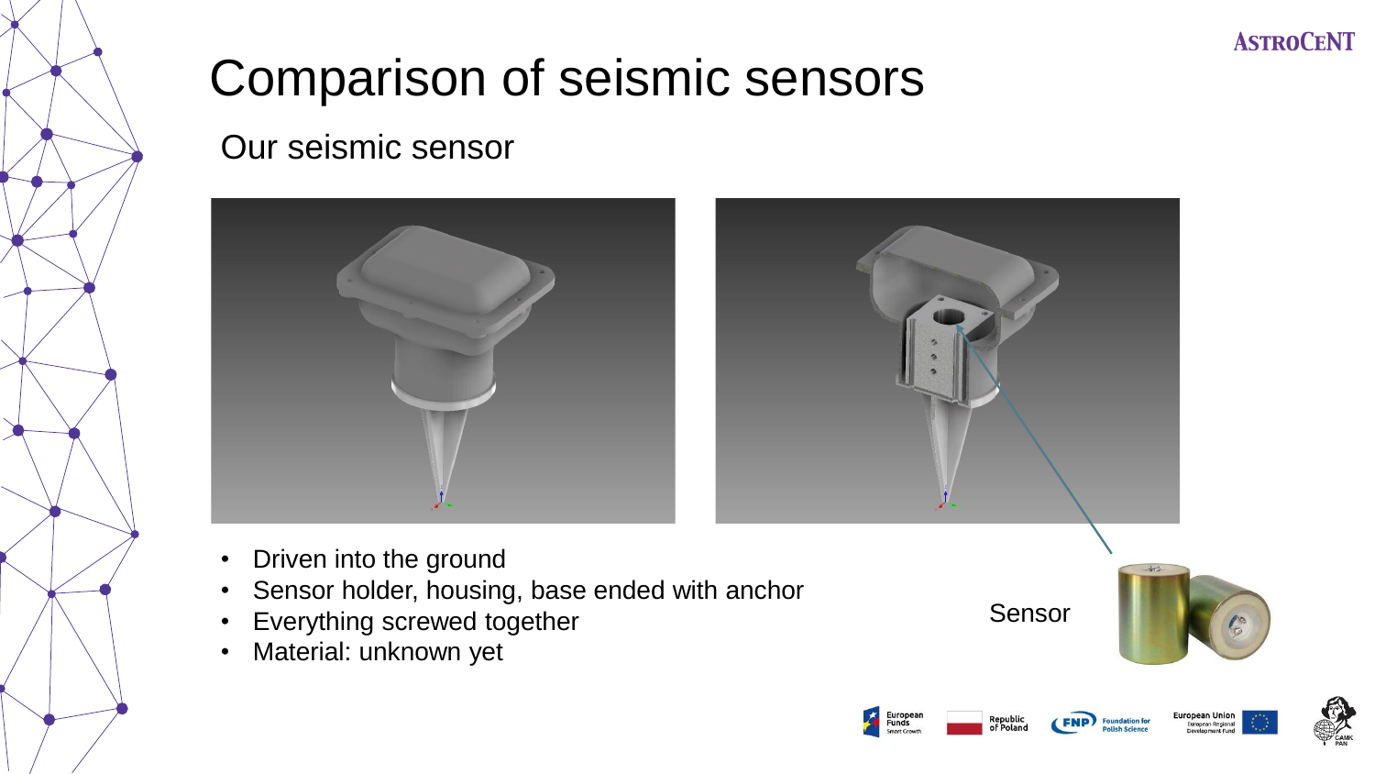# Comparison of seismic sensors

Our seismic sensor





- Driven into the ground
- Sensor holder, housing, base ended with anchor
- Everything screwed together
- Material: unknown yet

Sensor



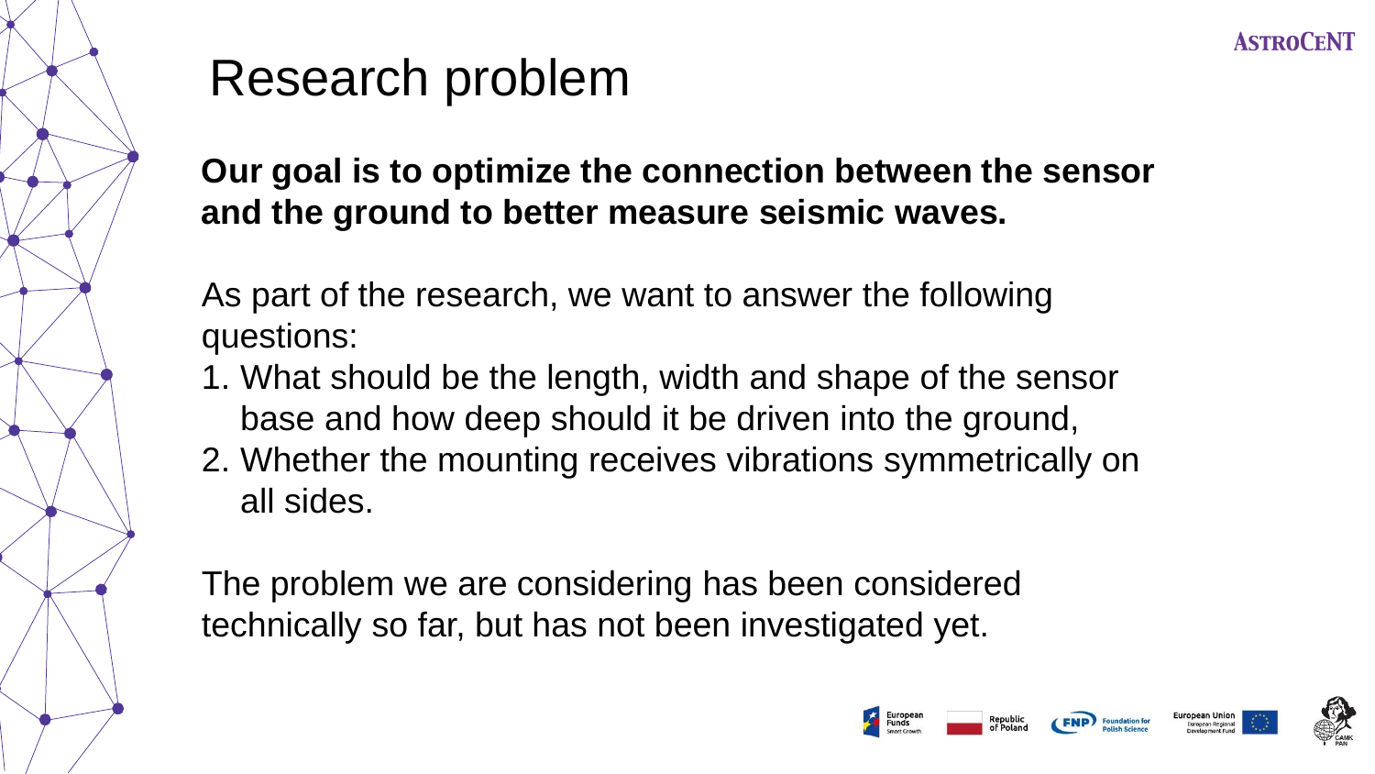# Research problem

**Our goal is to optimize the connection between the sensor and the ground to better measure seismic waves.** 

As part of the research, we want to answer the following questions:

- 1. What should be the length, width and shape of the sensor base and how deep should it be driven into the ground,
- 2. Whether the mounting receives vibrations symmetrically on all sides.

The problem we are considering has been considered technically so far, but has not been investigated yet.



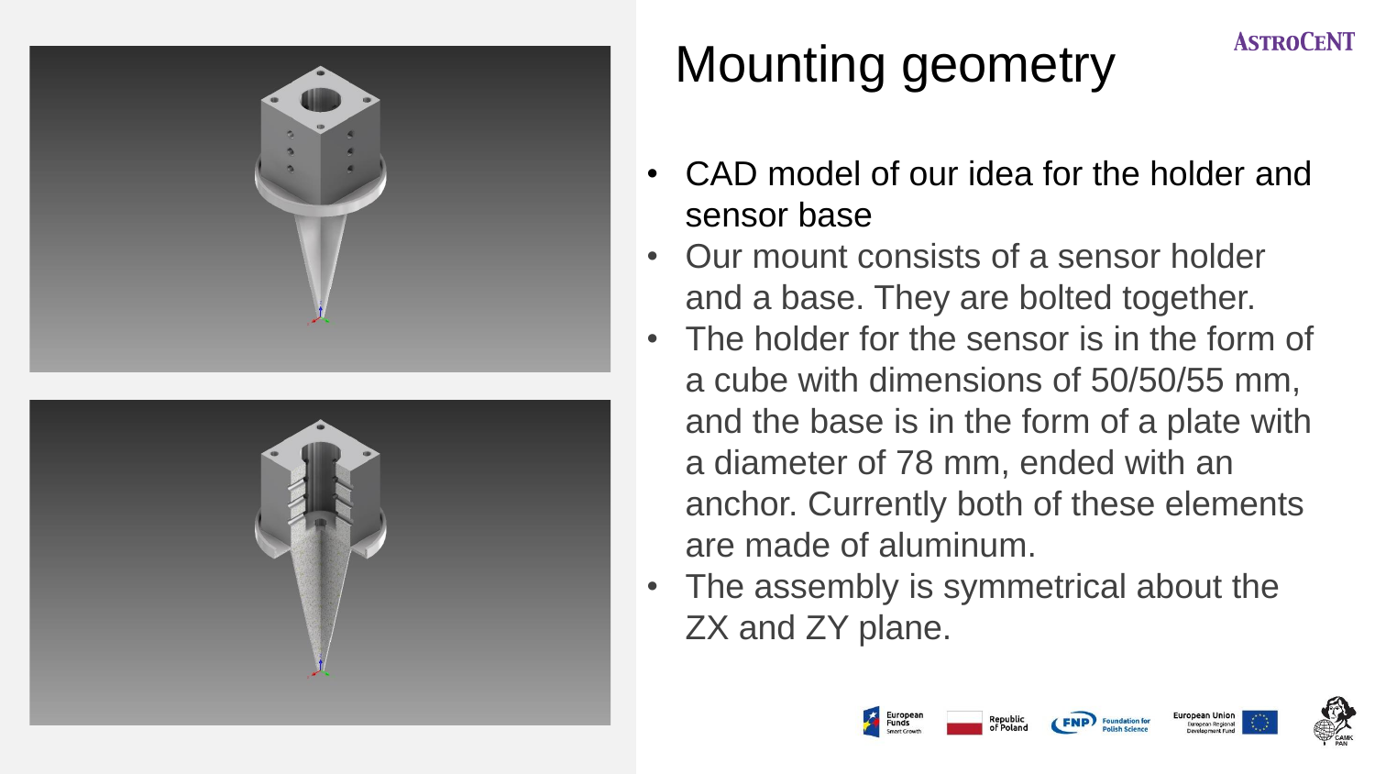



# Mounting geometry

- CAD model of our idea for the holder and sensor base
- Our mount consists of a sensor holder and a base. They are bolted together.
- The holder for the sensor is in the form of a cube with dimensions of 50/50/55 mm, and the base is in the form of a plate with a diameter of 78 mm, ended with an anchor. Currently both of these elements are made of aluminum.
- The assembly is symmetrical about the ZX and ZY plane.





**ASTROCENT**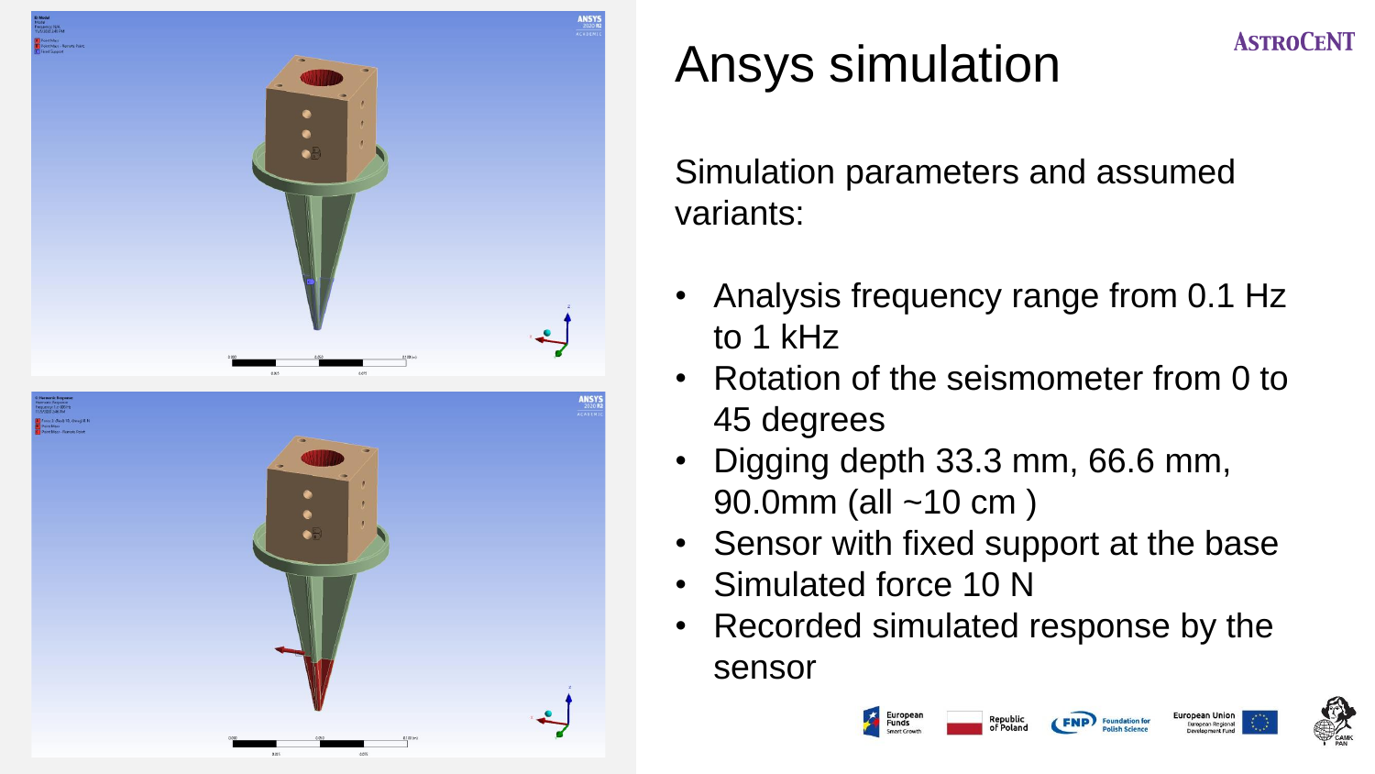

# Ansys simulation

Simulation parameters and assumed variants:

- Analysis frequency range from 0.1 Hz to 1 kHz
- Rotation of the seismometer from 0 to 45 degrees
- Digging depth 33.3 mm, 66.6 mm, 90.0mm (all ~10 cm )
- Sensor with fixed support at the base
- Simulated force 10 N
- Recorded simulated response by the sensor



**ASTROCENT** 



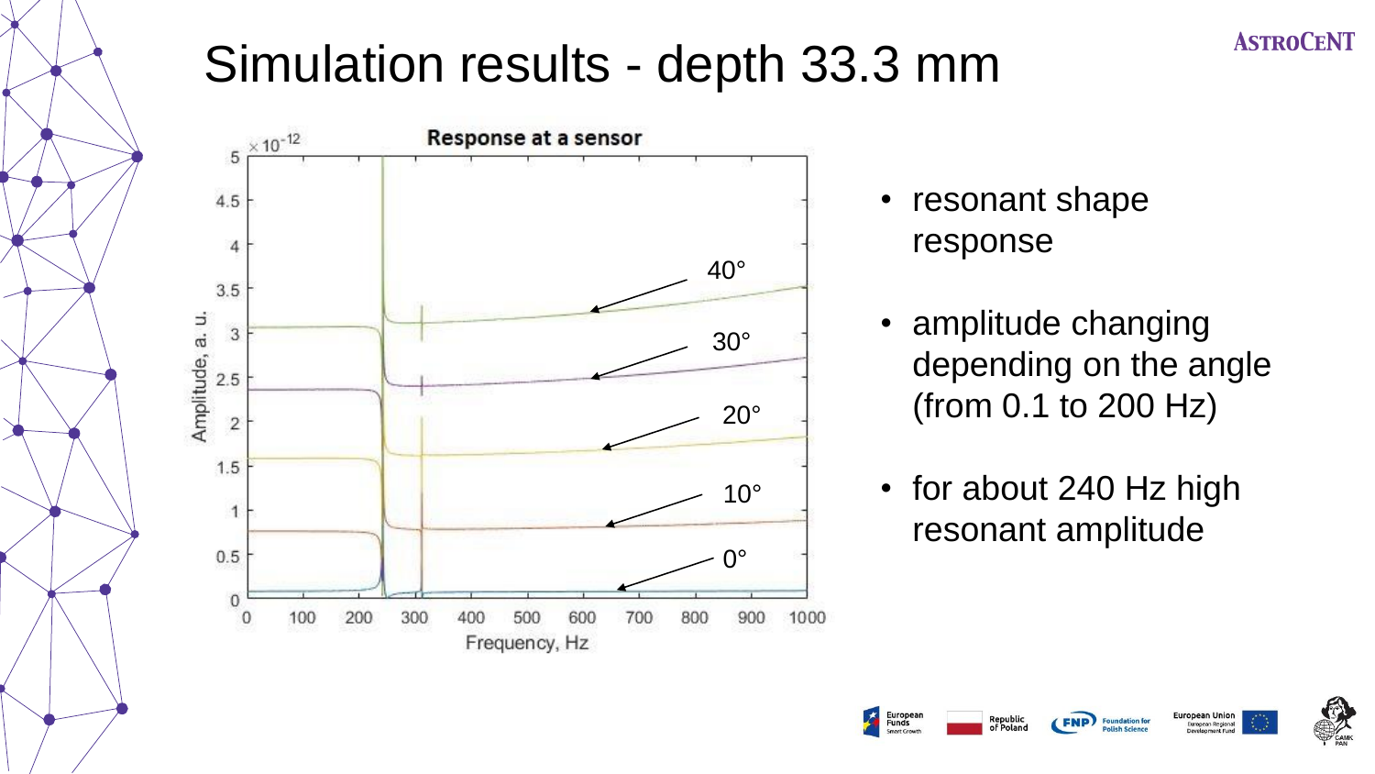

## Simulation results - depth 33.3 mm



- resonant shape response
- amplitude changing depending on the angle (from 0.1 to 200 Hz)
- for about 240 Hz high resonant amplitude

Republio

European Union<br>European Regional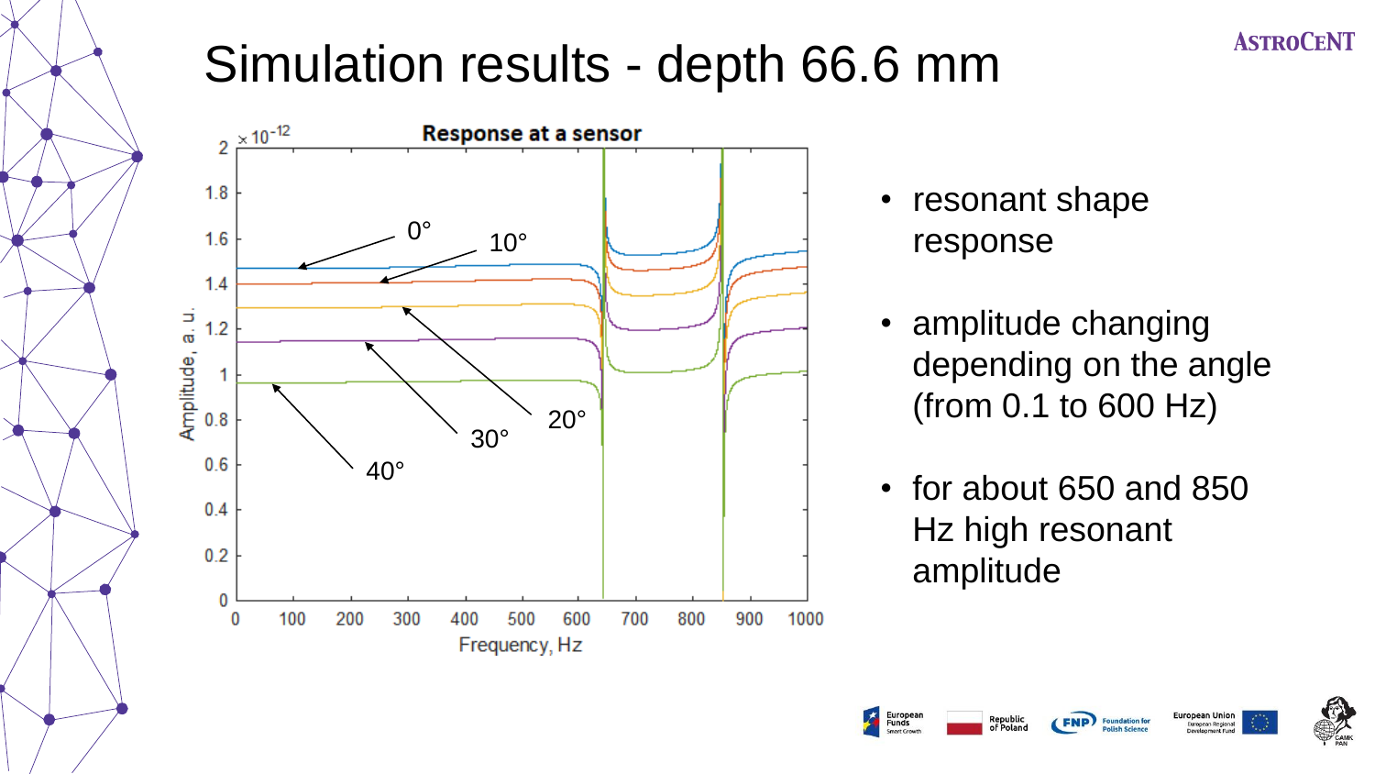# Simulation results - depth 66.6 mm



- resonant shape response
- amplitude changing depending on the angle (from 0.1 to 600 Hz)
- for about 650 and 850 Hz high resonant amplitude

uropean Regional

Republio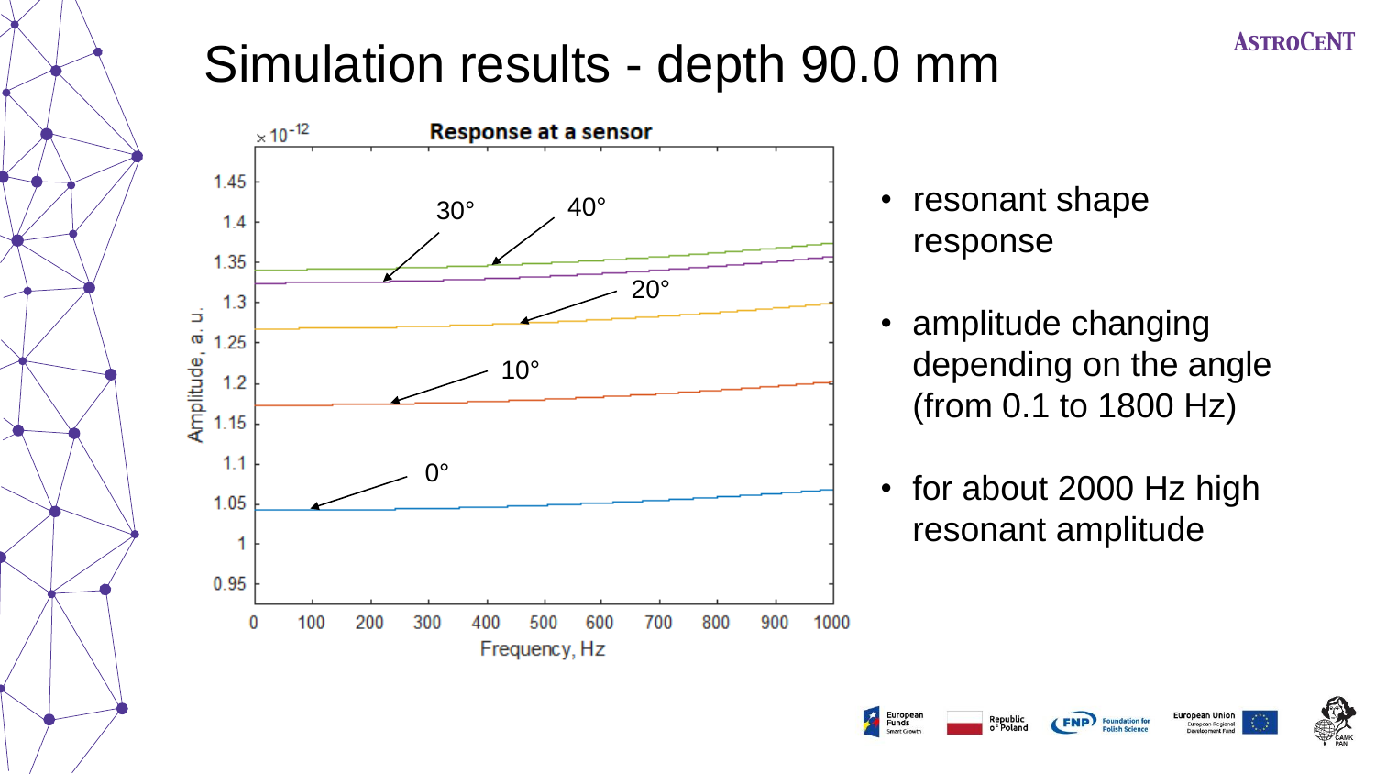# Simulation results - depth 90.0 mm



- resonant shape response
- amplitude changing depending on the angle (from 0.1 to 1800 Hz)
- for about 2000 Hz high resonant amplitude

Republio

European Union

**European Regional**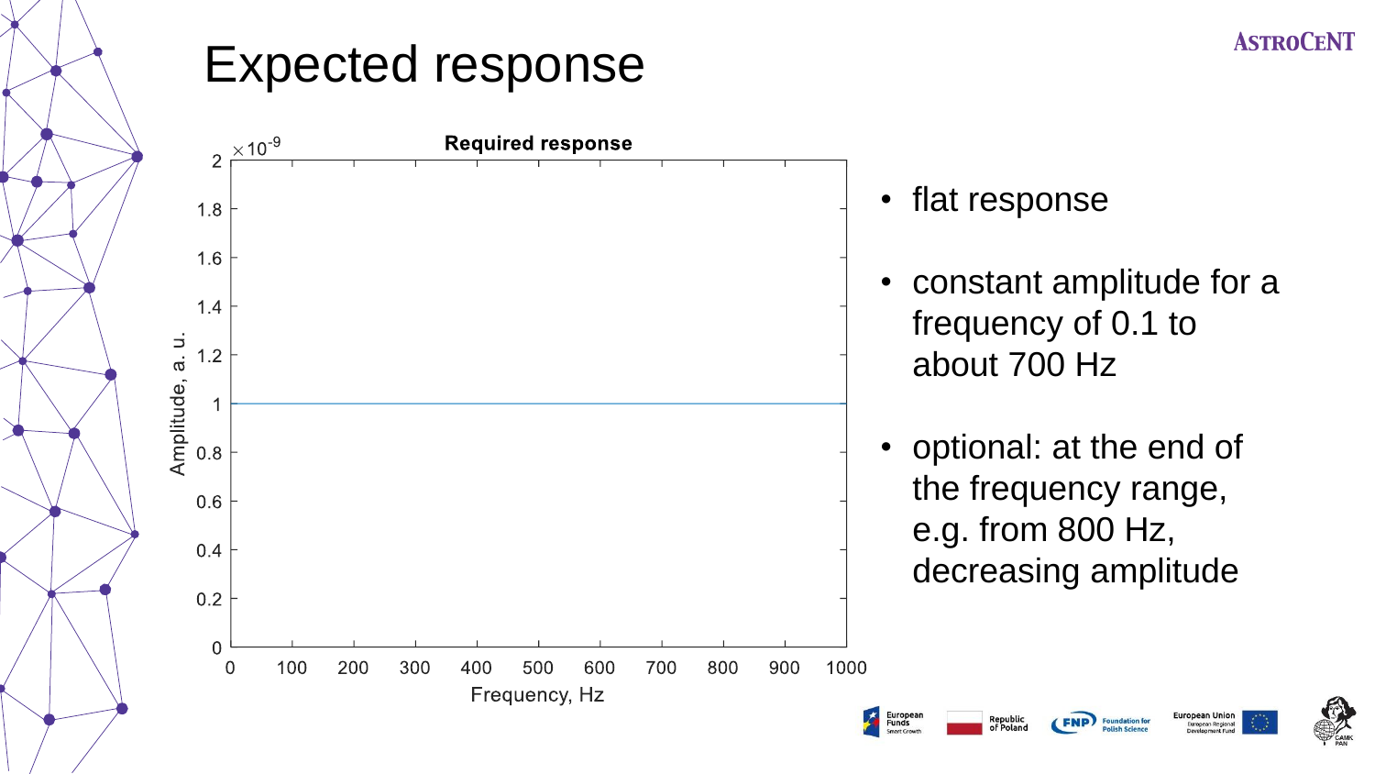### Expected response

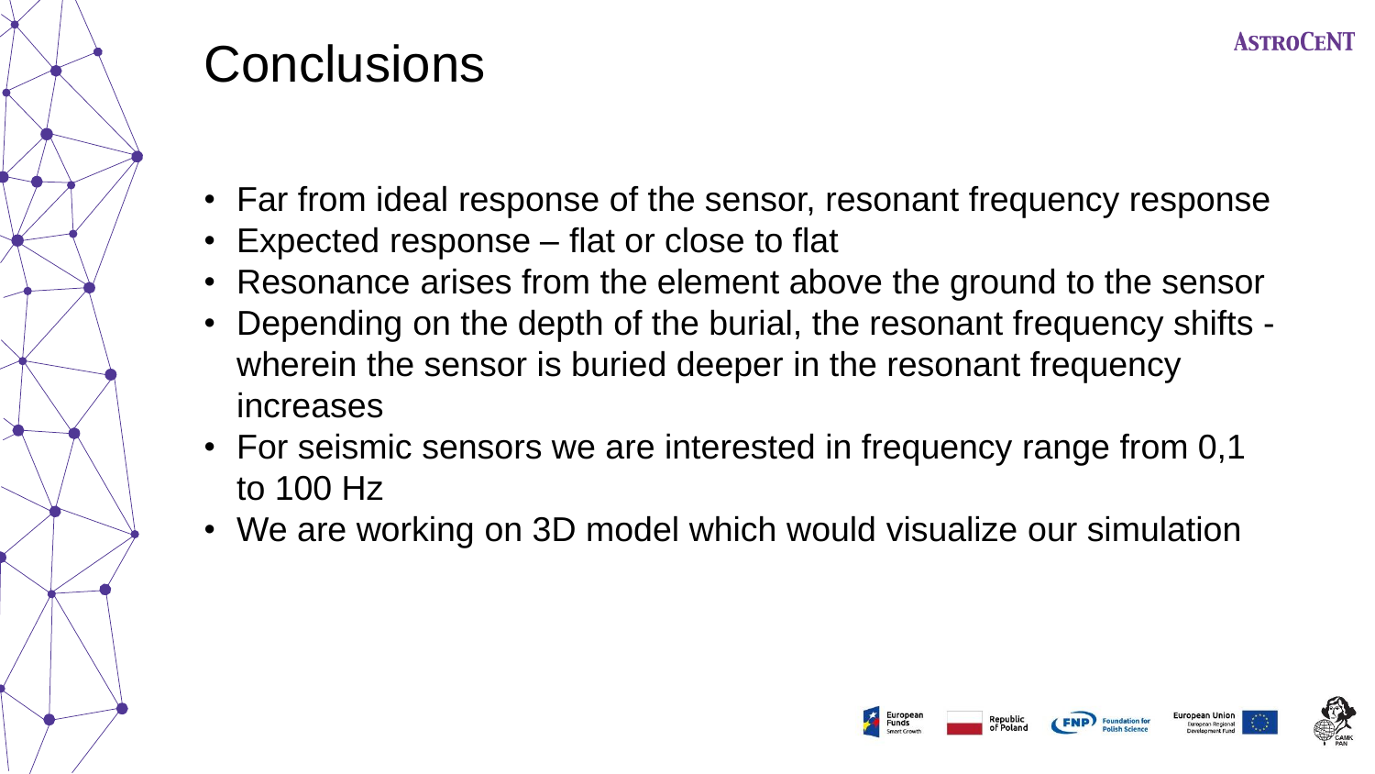

# **Conclusions**

- Far from ideal response of the sensor, resonant frequency response
- Expected response flat or close to flat
- Resonance arises from the element above the ground to the sensor
- Depending on the depth of the burial, the resonant frequency shifts wherein the sensor is buried deeper in the resonant frequency increases
- For seismic sensors we are interested in frequency range from 0,1 to 100 Hz
- We are working on 3D model which would visualize our simulation